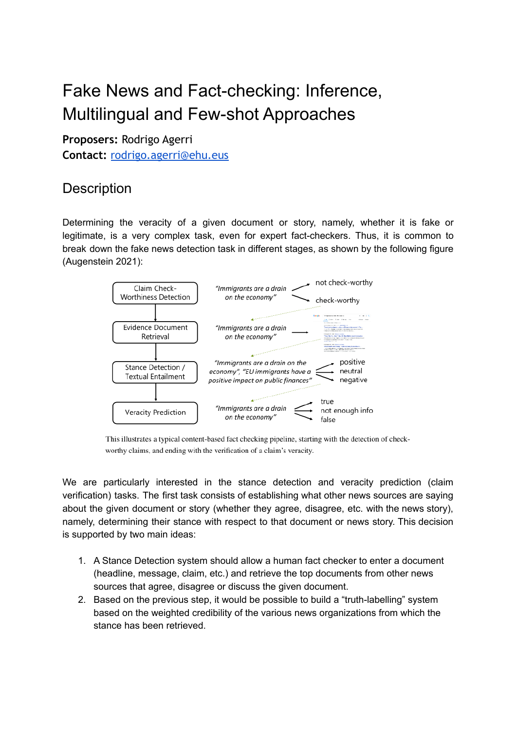# Fake News and Fact-checking: Inference, Multilingual and Few-shot Approaches

**Proposers:** Rodrigo Agerri **Contact:** [rodrigo.agerri@ehu.eus](http://rodrigo.agerri@ehu.eus)

# **Description**

Determining the veracity of a given document or story, namely, whether it is fake or legitimate, is a very complex task, even for expert fact-checkers. Thus, it is common to break down the fake news detection task in different stages, as shown by the following figure (Augenstein 2021):



This illustrates a typical content-based fact checking pipeline, starting with the detection of checkworthy claims, and ending with the verification of a claim's veracity.

We are particularly interested in the stance detection and veracity prediction (claim verification) tasks. The first task consists of establishing what other news sources are saying about the given document or story (whether they agree, disagree, etc. with the news story), namely, determining their stance with respect to that document or news story. This decision is supported by two main ideas:

- 1. A Stance Detection system should allow a human fact checker to enter a document (headline, message, claim, etc.) and retrieve the top documents from other news sources that agree, disagree or discuss the given document.
- 2. Based on the previous step, it would be possible to build a "truth-labelling" system based on the weighted credibility of the various news organizations from which the stance has been retrieved.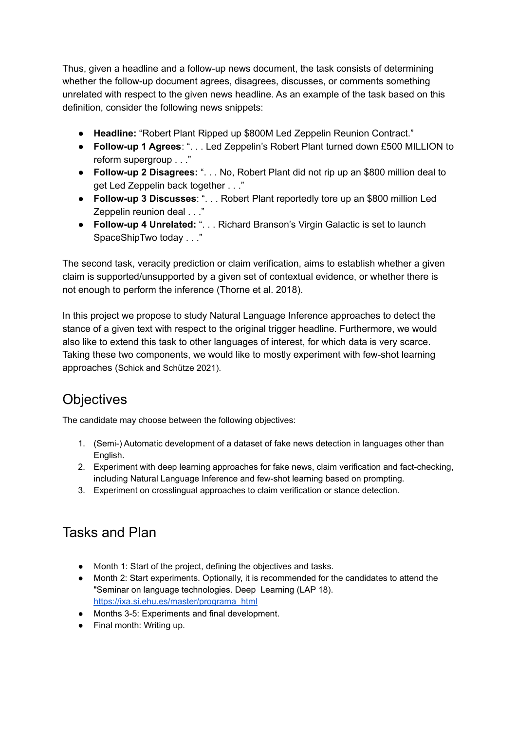Thus, given a headline and a follow-up news document, the task consists of determining whether the follow-up document agrees, disagrees, discusses, or comments something unrelated with respect to the given news headline. As an example of the task based on this definition, consider the following news snippets:

- **Headline:** "Robert Plant Ripped up \$800M Led Zeppelin Reunion Contract."
- **Follow-up 1 Agrees**: ". . . Led Zeppelin's Robert Plant turned down £500 MILLION to reform supergroup . . ."
- **Follow-up 2 Disagrees:** ". . . No, Robert Plant did not rip up an \$800 million deal to get Led Zeppelin back together . . ."
- **Follow-up 3 Discusses**: ". . . Robert Plant reportedly tore up an \$800 million Led Zeppelin reunion deal . . ."
- **Follow-up 4 Unrelated:** ". . . Richard Branson's Virgin Galactic is set to launch SpaceShipTwo today . . ."

The second task, veracity prediction or claim verification, aims to establish whether a given claim is supported/unsupported by a given set of contextual evidence, or whether there is not enough to perform the inference (Thorne et al. 2018).

In this project we propose to study Natural Language Inference approaches to detect the stance of a given text with respect to the original trigger headline. Furthermore, we would also like to extend this task to other languages of interest, for which data is very scarce. Taking these two components, we would like to mostly experiment with few-shot learning approaches (Schick and Schütze 2021).

### **Objectives**

The candidate may choose between the following objectives:

- 1. (Semi-) Automatic development of a dataset of fake news detection in languages other than English.
- 2. Experiment with deep learning approaches for fake news, claim verification and fact-checking, including Natural Language Inference and few-shot learning based on prompting.
- 3. Experiment on crosslingual approaches to claim verification or stance detection.

### Tasks and Plan

- Month 1: Start of the project, defining the objectives and tasks.
- Month 2: Start experiments. Optionally, it is recommended for the candidates to attend the "Seminar on language technologies. Deep Learning (LAP 18). [https://ixa.si.ehu.es/master/programa\\_html](https://ixa.si.ehu.es/master/programa_html)
- Months 3-5: Experiments and final development.
- Final month: Writing up.